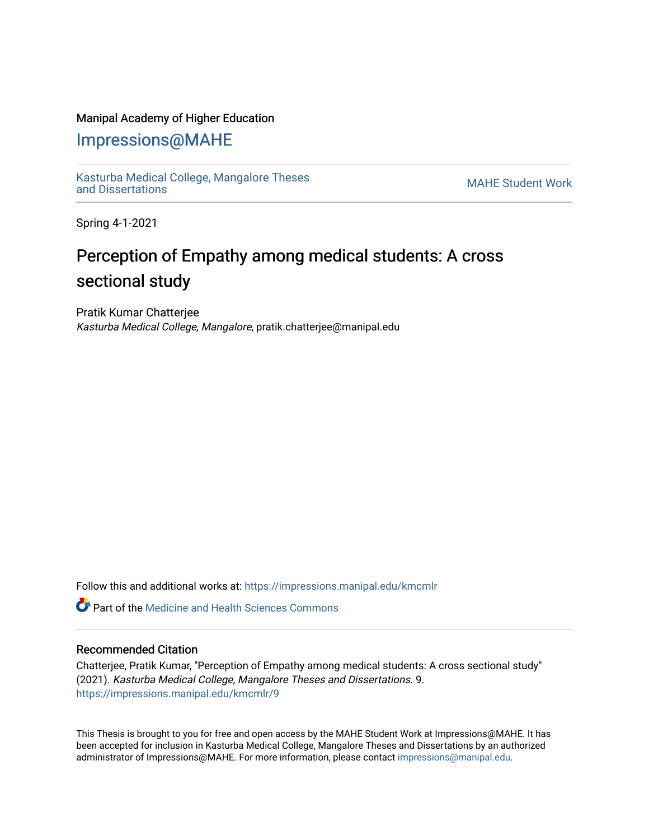### Manipal Academy of Higher Education

## [Impressions@MAHE](https://impressions.manipal.edu/)

[Kasturba Medical College, Mangalore Theses](https://impressions.manipal.edu/kmcmlr) Kasturba Medical College, Mangalore Theses<br>and Dissertations

Spring 4-1-2021

# Perception of Empathy among medical students: A cross sectional study

Pratik Kumar Chatterjee Kasturba Medical College, Mangalore, pratik.chatterjee@manipal.edu

Follow this and additional works at: [https://impressions.manipal.edu/kmcmlr](https://impressions.manipal.edu/kmcmlr?utm_source=impressions.manipal.edu%2Fkmcmlr%2F9&utm_medium=PDF&utm_campaign=PDFCoverPages) 

 $\bullet$  Part of the Medicine and Health Sciences Commons

#### Recommended Citation

Chatterjee, Pratik Kumar, "Perception of Empathy among medical students: A cross sectional study" (2021). Kasturba Medical College, Mangalore Theses and Dissertations. 9. [https://impressions.manipal.edu/kmcmlr/9](https://impressions.manipal.edu/kmcmlr/9?utm_source=impressions.manipal.edu%2Fkmcmlr%2F9&utm_medium=PDF&utm_campaign=PDFCoverPages) 

This Thesis is brought to you for free and open access by the MAHE Student Work at Impressions@MAHE. It has been accepted for inclusion in Kasturba Medical College, Mangalore Theses and Dissertations by an authorized administrator of Impressions@MAHE. For more information, please contact [impressions@manipal.edu.](mailto:impressions@manipal.edu)